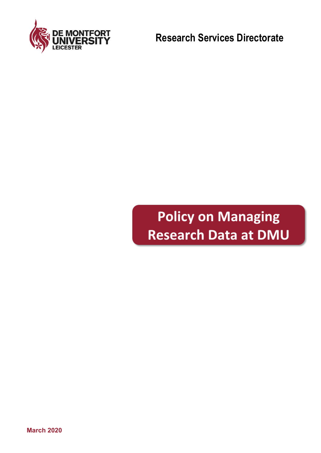

**Research Services Directorate**

# **Policy on Managing Research Data at DMU**

**March 2020**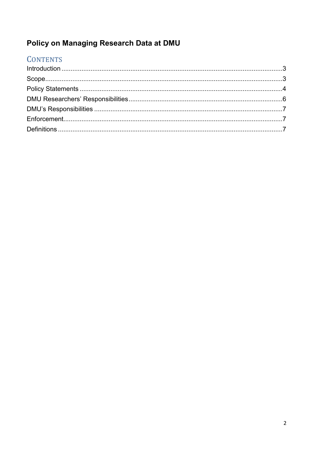# Policy on Managing Research Data at DMU

# **CONTENTS**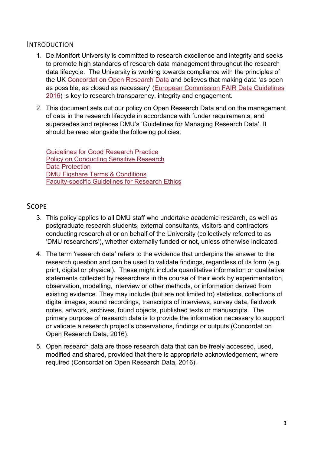#### <span id="page-2-0"></span>INTRODUCTION

- 1. De Montfort University is committed to research excellence and integrity and seeks to promote high standards of research data management throughout the research data lifecycle. The University is working towards compliance with the principles of the UK [Concordat on Open Research Data](https://www.ukri.org/files/legacy/documents/concordatonopenresearchdata-pdf/) and believes that making data 'as open as possible, as closed as necessary' [\(European Commission FAIR Data Guidelines](http://ec.europa.eu/research/participants/data/ref/h2020/grants_manual/hi/oa_pilot/h2020-hi-oa-data-mgt_en.pdf)  [2016\)](http://ec.europa.eu/research/participants/data/ref/h2020/grants_manual/hi/oa_pilot/h2020-hi-oa-data-mgt_en.pdf) is key to research transparency, integrity and engagement.
- 2. This document sets out our policy on Open Research Data and on the management of data in the research lifecycle in accordance with funder requirements, and supersedes and replaces DMU's 'Guidelines for Managing Research Data'. It should be read alongside the following policies:

[Guidelines for Good Research Practice](https://www.dmu.ac.uk/research/ethics-and-governance/research-integrity-and-ethics.aspx) [Policy on Conducting Sensitive Research](https://www.dmu.ac.uk/research/ethics-and-governance/sensitive-research.aspx) [Data Protection](http://www.dmu.ac.uk/policies/data-protection/data-protection.aspx) [DMU Figshare Terms & Conditions](https://libguides.library.dmu.ac.uk/ld.php?content_id=32220906) [Faculty-specific Guidelines for Research Ethics](https://www.dmu.ac.uk/research/ethics-and-governance/research-requiring-ethical-approval.aspx)

### <span id="page-2-1"></span>**SCOPE**

- 3. This policy applies to all DMU staff who undertake academic research, as well as postgraduate research students, external consultants, visitors and contractors conducting research at or on behalf of the University (collectively referred to as 'DMU researchers'), whether externally funded or not, unless otherwise indicated.
- 4. The term 'research data' refers to the evidence that underpins the answer to the research question and can be used to validate findings, regardless of its form (e.g. print, digital or physical). These might include quantitative information or qualitative statements collected by researchers in the course of their work by experimentation, observation, modelling, interview or other methods, or information derived from existing evidence. They may include (but are not limited to) statistics, collections of digital images, sound recordings, transcripts of interviews, survey data, fieldwork notes, artwork, archives, found objects, published texts or manuscripts. The primary purpose of research data is to provide the information necessary to support or validate a research project's observations, findings or outputs (Concordat on Open Research Data, 2016).
- <span id="page-2-2"></span>5. Open research data are those research data that can be freely accessed, used, modified and shared, provided that there is appropriate acknowledgement, where required (Concordat on Open Research Data, 2016).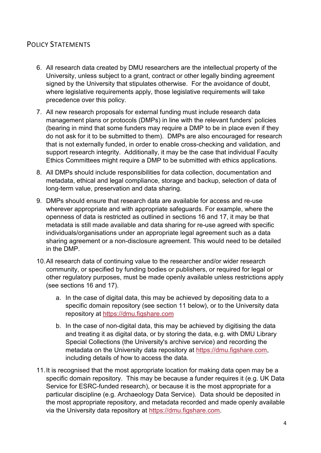## POLICY STATEMENTS

- 6. All research data created by DMU researchers are the intellectual property of the University, unless subject to a grant, contract or other legally binding agreement signed by the University that stipulates otherwise. For the avoidance of doubt, where legislative requirements apply, those legislative requirements will take precedence over this policy.
- 7. All new research proposals for external funding must include research data management plans or protocols (DMPs) in line with the relevant funders' policies (bearing in mind that some funders may require a DMP to be in place even if they do not ask for it to be submitted to them). DMPs are also encouraged for research that is not externally funded, in order to enable cross-checking and validation, and support research integrity. Additionally, it may be the case that individual Faculty Ethics Committees might require a DMP to be submitted with ethics applications.
- 8. All DMPs should include responsibilities for data collection, documentation and metadata, ethical and legal compliance, storage and backup, selection of data of long-term value, preservation and data sharing.
- 9. DMPs should ensure that research data are available for access and re-use wherever appropriate and with appropriate safeguards. For example, where the openness of data is restricted as outlined in sections 16 and 17, it may be that metadata is still made available and data sharing for re-use agreed with specific individuals/organisations under an appropriate legal agreement such as a data sharing agreement or a non-disclosure agreement. This would need to be detailed in the DMP.
- 10.All research data of continuing value to the researcher and/or wider research community, or specified by funding bodies or publishers, or required for legal or other regulatory purposes, must be made openly available unless restrictions apply (see sections 16 and 17).
	- a. In the case of digital data, this may be achieved by depositing data to a specific domain repository (see section 11 below), or to the University data repository at [https://dmu.figshare.com](https://dmu.figshare.com/)
	- b. In the case of non-digital data, this may be achieved by digitising the data and treating it as digital data, or by storing the data, e.g. with DMU Library Special Collections (the University's archive service) and recording the metadata on the University data repository at [https://dmu.figshare.com,](https://dmu.figshare.com/) including details of how to access the data.
- 11.It is recognised that the most appropriate location for making data open may be a specific domain repository. This may be because a funder requires it (e.g. UK Data Service for ESRC-funded research), or because it is the most appropriate for a particular discipline (e.g. Archaeology Data Service). Data should be deposited in the most appropriate repository, and metadata recorded and made openly available via the University data repository at [https://dmu.figshare.com.](https://dmu.figshare.com/)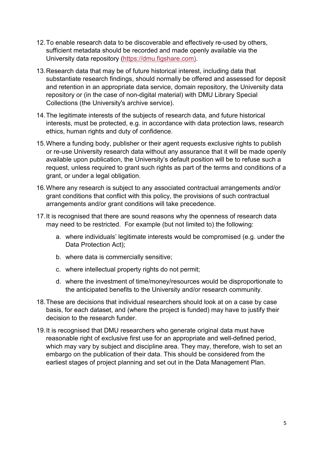- 12.To enable research data to be discoverable and effectively re-used by others, sufficient metadata should be recorded and made openly available via the University data repository [\(https://dmu.figshare.com\)](https://dmu.figshare.com/).
- 13.Research data that may be of future historical interest, including data that substantiate research findings, should normally be offered and assessed for deposit and retention in an appropriate data service, domain repository, the University data repository or (in the case of non-digital material) with DMU Library Special Collections (the University's archive service).
- 14.The legitimate interests of the subjects of research data, and future historical interests, must be protected, e.g. in accordance with data protection laws, research ethics, human rights and duty of confidence.
- 15.Where a funding body, publisher or their agent requests exclusive rights to publish or re-use University research data without any assurance that it will be made openly available upon publication, the University's default position will be to refuse such a request, unless required to grant such rights as part of the terms and conditions of a grant, or under a legal obligation.
- 16.Where any research is subject to any associated contractual arrangements and/or grant conditions that conflict with this policy, the provisions of such contractual arrangements and/or grant conditions will take precedence.
- 17.It is recognised that there are sound reasons why the openness of research data may need to be restricted. For example (but not limited to) the following:
	- a. where individuals' legitimate interests would be compromised (e.g. under the Data Protection Act);
	- b. where data is commercially sensitive;
	- c. where intellectual property rights do not permit;
	- d. where the investment of time/money/resources would be disproportionate to the anticipated benefits to the University and/or research community.
- 18.These are decisions that individual researchers should look at on a case by case basis, for each dataset, and (where the project is funded) may have to justify their decision to the research funder.
- <span id="page-4-0"></span>19.It is recognised that DMU researchers who generate original data must have reasonable right of exclusive first use for an appropriate and well-defined period, which may vary by subject and discipline area. They may, therefore, wish to set an embargo on the publication of their data. This should be considered from the earliest stages of project planning and set out in the Data Management Plan.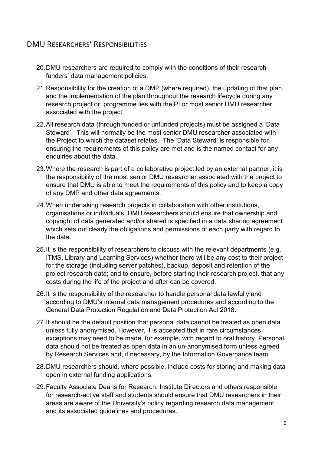# DMU RESEARCHERS' RESPONSIBILITIES

- 20.DMU researchers are required to comply with the conditions of their research funders' data management policies.
- 21.Responsibility for the creation of a DMP (where required), the updating of that plan, and the implementation of the plan throughout the research lifecycle during any research project or programme lies with the PI or most senior DMU researcher associated with the project.
- 22.All research data (through funded or unfunded projects) must be assigned a 'Data Steward'. This will normally be the most senior DMU researcher associated with the Project to which the dataset relates. The 'Data Steward' is responsible for ensuring the requirements of this policy are met and is the named contact for any enquiries about the data.
- 23.Where the research is part of a collaborative project led by an external partner, it is the responsibility of the most senior DMU researcher associated with the project to ensure that DMU is able to meet the requirements of this policy and to keep a copy of any DMP and other data agreements.
- 24.When undertaking research projects in collaboration with other institutions, organisations or individuals, DMU researchers should ensure that ownership and copyright of data generated and/or shared is specified in a data sharing agreement which sets out clearly the obligations and permissions of each party with regard to the data.
- 25.It is the responsibility of researchers to discuss with the relevant departments (e.g. ITMS, Library and Learning Services) whether there will be any cost to their project for the storage (including server patches), backup, deposit and retention of the project research data; and to ensure, before starting their research project, that any costs during the life of the project and after can be covered.
- 26.It is the responsibility of the researcher to handle personal data lawfully and according to DMU's internal data management procedures and according to the General Data Protection Regulation and Data Protection Act 2018.
- 27.It should be the default position that personal data cannot be treated as open data unless fully anonymised. However, it is accepted that in rare circumstances exceptions may need to be made, for example, with regard to oral history. Personal data should not be treated as open data in an un-anonymised form unless agreed by Research Services and, if necessary, by the Information Governance team.
- 28.DMU researchers should, where possible, include costs for storing and making data open in external funding applications.
- 29.Faculty Associate Deans for Research, Institute Directors and others responsible for research-active staff and students should ensure that DMU researchers in their areas are aware of the University's policy regarding research data management and its associated guidelines and procedures.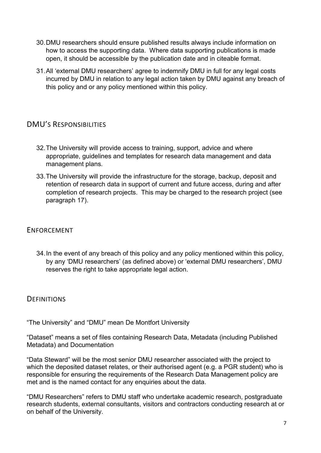- 30.DMU researchers should ensure published results always include information on how to access the supporting data. Where data supporting publications is made open, it should be accessible by the publication date and in citeable format.
- 31.All 'external DMU researchers' agree to indemnify DMU in full for any legal costs incurred by DMU in relation to any legal action taken by DMU against any breach of this policy and or any policy mentioned within this policy.

## <span id="page-6-0"></span>DMU'S RESPONSIBILITIES

- 32.The University will provide access to training, support, advice and where appropriate, guidelines and templates for research data management and data management plans.
- 33.The University will provide the infrastructure for the storage, backup, deposit and retention of research data in support of current and future access, during and after completion of research projects. This may be charged to the research project (see paragraph 17).

#### <span id="page-6-1"></span>ENFORCEMENT

34.In the event of any breach of this policy and any policy mentioned within this policy, by any 'DMU researchers' (as defined above) or 'external DMU researchers', DMU reserves the right to take appropriate legal action.

### <span id="page-6-2"></span>**DEFINITIONS**

"The University" and "DMU" mean De Montfort University

"Dataset" means a set of files containing Research Data, Metadata (including Published Metadata) and Documentation

"Data Steward" will be the most senior DMU researcher associated with the project to which the deposited dataset relates, or their authorised agent (e.g. a PGR student) who is responsible for ensuring the requirements of the Research Data Management policy are met and is the named contact for any enquiries about the data.

"DMU Researchers" refers to DMU staff who undertake academic research, postgraduate research students, external consultants, visitors and contractors conducting research at or on behalf of the University.